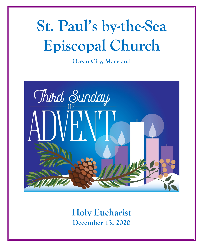## **St. Paul's by-the-Sea Episcopal Church**

**Ocean City, Maryland**



**Holy Eucharist December 13, 2020**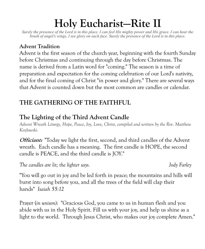## **Holy Eucharist—Rite II**

*Surely the presence of the Lord is in this place. I can feel His mighty power and His grace. I can hear the brush of angel's wings, I see glory on each face. Surely the presence of the Lord is in this place.*

#### **Advent Tradition**

Advent is the first season of the church year, beginning with the fourth Sunday before Christmas and continuing through the day before Christmas. The name is derived from a Latin word for "coming." The season is a time of preparation and expectation for the coming celebration of our Lord's nativity, and for the final coming of Christ "in power and glory." There are several ways that Advent is counted down but the most common are candles or calendar.

#### **THE GATHERING OF THE FAITHFUL**

#### **The Lighting of the Third Advent Candle**

*Advent Wreath Liturgy, Hope, Peace, Joy, Love, Christ, compiled and written by the Rev. Matthew Kozlowski.*

*Officiant:* "Today we light the first, second, and third candles of the Advent wreath. Each candle has a meaning. The first candle is HOPE, the second candle is PEACE, and the third candle is JOY."

*The candles are lit; the lighter says. Jody Farley*

"You will go out in joy and be led forth in peace; the mountains and hills will burst into song before you, and all the trees of the field will clap their hands" *Isaiah 55:12*

Prayer (*in unison)*: "Gracious God, you came to us in human flesh and you abide with us in the Holy Spirit. Fill us with your joy, and help us shine as a light to the world. Through Jesus Christ, who makes our joy complete Amen."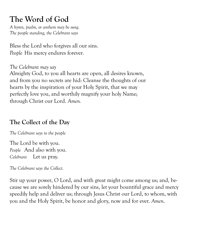## **The Word of God**

*A hymn, psalm, or anthem may be sung. The people standing, the Celebrant says*

Bless the Lord who forgives all our sins. *People* His mercy endures forever.

*The Celebrant may say*

Almighty God, to you all hearts are open, all desires known, and from you no secrets are hid: Cleanse the thoughts of our hearts by the inspiration of your Holy Spirit, that we may perfectly love you, and worthily magnify your holy Name; through Christ our Lord. *Amen.*

#### **The Collect of the Day**

*The Celebrant says to the people*

The Lord be with you. *People* And also with you. *Celebrant* Let us pray.

*The Celebrant says the Collect.*

Stir up your power, O Lord, and with great might come among us; and, because we are sorely hindered by our sins, let your bountiful grace and mercy speedily help and deliver us; through Jesus Christ our Lord, to whom, with you and the Holy Spirit, be honor and glory, now and for ever. *Amen*.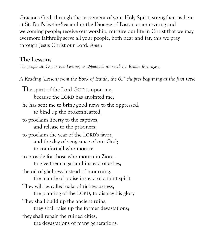Gracious God, through the movement of your Holy Spirit, strengthen us here at St. Paul's by-the-Sea and in the Diocese of Easton as an inviting and welcoming people; receive our worship, nurture our life in Christ that we may evermore faithfully serve all your people, both near and far; this we pray through Jesus Christ our Lord. *Amen*

#### **The Lessons**

*The people sit. One or two Lessons, as appointed, are read, the Reader first saying*

*A Reading (Lesson) from the Book of Isaiah, the 61st chapter beginning at the first verse*

The spirit of the Lord GOD is upon me, because the LORD has anointed me; he has sent me to bring good news to the oppressed, to bind up the brokenhearted, to proclaim liberty to the captives, and release to the prisoners; to proclaim the year of the LORD's favor, and the day of vengeance of our God; to comfort all who mourn; to provide for those who mourn in Zion to give them a garland instead of ashes, the oil of gladness instead of mourning, the mantle of praise instead of a faint spirit. They will be called oaks of righteousness, the planting of the LORD, to display his glory. They shall build up the ancient ruins, they shall raise up the former devastations; they shall repair the ruined cities, the devastations of many generations.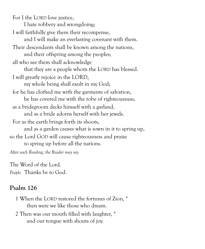For I the LORD love justice, I hate robbery and wrongdoing; I will faithfully give them their recompense, and I will make an everlasting covenant with them. Their descendants shall be known among the nations, and their offspring among the peoples; all who see them shall acknowledge that they are a people whom the LORD has blessed. I will greatly rejoice in the LORD, my whole being shall exult in my God; for he has clothed me with the garments of salvation, he has covered me with the robe of righteousness, as a bridegroom decks himself with a garland, and as a bride adorns herself with her jewels. For as the earth brings forth its shoots, and as a garden causes what is sown in it to spring up, so the Lord GOD will cause righteousness and praise to spring up before all the nations. *After each Reading, the Reader may say*

The Word of the Lord. *People* Thanks be to God.

#### **Psalm 126**

- 1 When the LORD restored the fortunes of Zion, \* then were we like those who dream.
- 2 Then was our mouth filled with laughter, \* and our tongue with shouts of joy.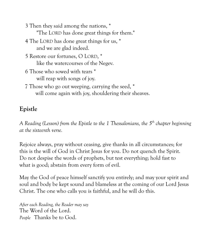- 3 Then they said among the nations, \* "The LORD has done great things for them."
- 4 The LORD has done great things for us, \* and we are glad indeed.
- 5 Restore our fortunes, O LORD, \* like the watercourses of the Negev.
- 6 Those who sowed with tears \* will reap with songs of joy.
- 7 Those who go out weeping, carrying the seed, \* will come again with joy, shouldering their sheaves.

#### **Epistle**

*A Reading (Lesson) from the Epistle to the 1 Thessalonians, the 5th chapter beginning at the sixteenth verse.*

Rejoice always, pray without ceasing, give thanks in all circumstances; for this is the will of God in Christ Jesus for you. Do not quench the Spirit. Do not despise the words of prophets, but test everything; hold fast to what is good; abstain from every form of evil.

May the God of peace himself sanctify you entirely; and may your spirit and soul and body be kept sound and blameless at the coming of our Lord Jesus Christ. The one who calls you is faithful, and he will do this.

*After each Reading, the Reader may say* The Word of the Lord. *People* Thanks be to God.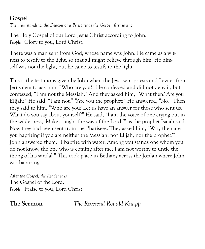#### **Gospel**

*Then, all standing, the Deacon or a Priest reads the Gospel, first saying*

The Holy Gospel of our Lord Jesus Christ according to John. *People* Glory to you, Lord Christ.

There was a man sent from God, whose name was John. He came as a witness to testify to the light, so that all might believe through him. He himself was not the light, but he came to testify to the light.

This is the testimony given by John when the Jews sent priests and Levites from Jerusalem to ask him, "Who are you?" He confessed and did not deny it, but confessed, "I am not the Messiah." And they asked him, "What then? Are you Elijah?" He said, "I am not." "Are you the prophet?" He answered, "No." Then they said to him, "Who are you? Let us have an answer for those who sent us. What do you say about yourself?" He said, "I am the voice of one crying out in the wilderness, 'Make straight the way of the Lord,'" as the prophet Isaiah said. Now they had been sent from the Pharisees. They asked him, "Why then are you baptizing if you are neither the Messiah, nor Elijah, nor the prophet?" John answered them, "I baptize with water. Among you stands one whom you do not know, the one who is coming after me; I am not worthy to untie the thong of his sandal." This took place in Bethany across the Jordan where John was baptizing.

*After the Gospel, the Reader says* The Gospel of the Lord. *People* Praise to you, Lord Christ.

**The Sermon** *The Reverend Ronald Knapp*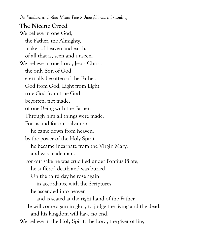*On Sundays and other Major Feasts there follows, all standing*

**The Nicene Creed** We believe in one God, the Father, the Almighty, maker of heaven and earth, of all that is, seen and unseen. We believe in one Lord, Jesus Christ, the only Son of God, eternally begotten of the Father, God from God, Light from Light, true God from true God, begotten, not made, of one Being with the Father. Through him all things were made. For us and for our salvation he came down from heaven: by the power of the Holy Spirit he became incarnate from the Virgin Mary, and was made man. For our sake he was crucified under Pontius Pilate; he suffered death and was buried. On the third day he rose again in accordance with the Scriptures; he ascended into heaven and is seated at the right hand of the Father. He will come again in glory to judge the living and the dead, and his kingdom will have no end. We believe in the Holy Spirit, the Lord, the giver of life,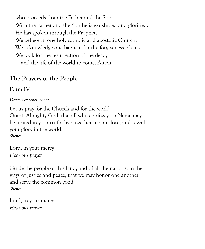who proceeds from the Father and the Son. With the Father and the Son he is worshiped and glorified. He has spoken through the Prophets. We believe in one holy catholic and apostolic Church. We acknowledge one baptism for the forgiveness of sins. We look for the resurrection of the dead, and the life of the world to come. Amen.

#### **The Prayers of the People**

#### **Form IV**

*Deacon or other leader*

Let us pray for the Church and for the world. Grant, Almighty God, that all who confess your Name may be united in your truth, live together in your love, and reveal your glory in the world. *Silence*

Lord, in your mercy *Hear our prayer.*

Guide the people of this land, and of all the nations, in the ways of justice and peace; that we may honor one another and serve the common good. *Silence*

Lord, in your mercy *Hear our prayer.*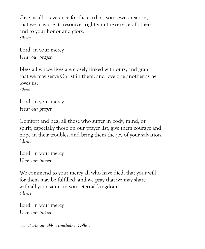Give us all a reverence for the earth as your own creation, that we may use its resources rightly in the service of others and to your honor and glory. *Silence*

Lord, in your mercy *Hear our prayer.*

Bless all whose lives are closely linked with ours, and grant that we may serve Christ in them, and love one another as he loves us. *Silence*

Lord, in your mercy *Hear our prayer.*

Comfort and heal all those who suffer in body, mind, or spirit, especially those on our prayer list; give them courage and hope in their troubles, and bring them the joy of your salvation. *Silence*

Lord, in your mercy *Hear our prayer.*

We commend to your mercy all who have died, that your will for them may be fulfilled; and we pray that we may share with all your saints in your eternal kingdom. *Silence*

Lord, in your mercy *Hear our prayer.*

*The Celebrant adds a concluding Collect*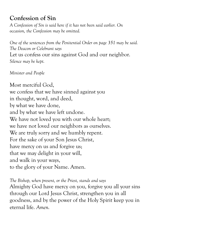#### **Confession of Sin**

*A Confession of Sin is said here if it has not been said earlier. On occasion, the Confession may be omitted.*

*One of the sentences from the Penitential Order on page 351 may be said. The Deacon or Celebrant says* Let us confess our sins against God and our neighbor. *Silence may be kept.*

*Minister and People*

Most merciful God, we confess that we have sinned against you in thought, word, and deed, by what we have done, and by what we have left undone. We have not loved you with our whole heart; we have not loved our neighbors as ourselves. We are truly sorry and we humbly repent. For the sake of your Son Jesus Christ, have mercy on us and forgive us; that we may delight in your will, and walk in your ways, to the glory of your Name. Amen.

*The Bishop, when present, or the Priest, stands and says* Almighty God have mercy on you, forgive you all your sins through our Lord Jesus Christ, strengthen you in all goodness, and by the power of the Holy Spirit keep you in eternal life. *Amen.*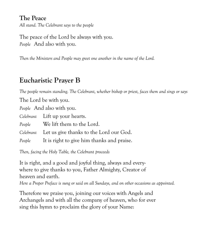#### **The Peace**

*All stand. The Celebrant says to the people*

The peace of the Lord be always with you. *People* And also with you.

*Then the Ministers and People may greet one another in the name of the Lord.*

#### **Eucharistic Prayer B**

*The people remain standing. The Celebrant, whether bishop or priest, faces them and sings or says*

The Lord be with you.

*People* And also with you.

*Celebrant* Lift up your hearts.

*People* We lift them to the Lord.

*Celebrant* Let us give thanks to the Lord our God.

*People* It is right to give him thanks and praise.

*Then, facing the Holy Table, the Celebrant proceeds*

It is right, and a good and joyful thing, always and everywhere to give thanks to you, Father Almighty, Creator of heaven and earth.

*Here a Proper Preface is sung or said on all Sundays, and on other occasions as appointed.*

Therefore we praise you, joining our voices with Angels and Archangels and with all the company of heaven, who for ever sing this hymn to proclaim the glory of your Name: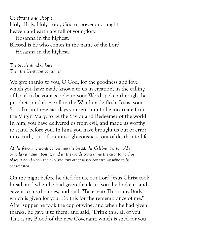*Celebrant and People* Holy, Holy, Holy Lord, God of power and might, heaven and earth are full of your glory.

Hosanna in the highest.

Blessed is he who comes in the name of the Lord.

Hosanna in the highest.

*The people stand or kneel. Then the Celebrant continues*

We give thanks to you, O God, for the goodness and love which you have made known to us in creation; in the calling of Israel to be your people; in your Word spoken through the prophets; and above all in the Word made flesh, Jesus, your Son. For in these last days you sent him to be incarnate from the Virgin Mary, to be the Savior and Redeemer of the world. In him, you have delivered us from evil, and made us worthy to stand before you. In him, you have brought us out of error into truth, out of sin into righteousness, out of death into life.

*At the following words concerning the bread, the Celebrant is to hold it, or to lay a hand upon it; and at the words concerning the cup, to hold or place a hand upon the cup and any other vessel containing wine to be consecrated.*

On the night before he died for us, our Lord Jesus Christ took bread; and when he had given thanks to you, he broke it, and gave it to his disciples, and said, "Take, eat: This is my Body, which is given for you. Do this for the remembrance of me." After supper he took the cup of wine; and when he had given thanks, he gave it to them, and said, "Drink this, all of you: This is my Blood of the new Covenant, which is shed for you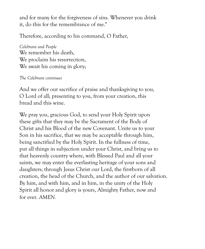and for many for the forgiveness of sins. Whenever you drink it, do this for the remembrance of me."

Therefore, according to his command, O Father,

*Celebrant and People*  We remember his death, We proclaim his resurrection, We await his coming in glory;

*The Celebrant continues* 

And we offer our sacrifice of praise and thanksgiving to you, O Lord of all; presenting to you, from your creation, this bread and this wine.

We pray you, gracious God, to send your Holy Spirit upon these gifts that they may be the Sacrament of the Body of Christ and his Blood of the new Covenant. Unite us to your Son in his sacrifice, that we may be acceptable through him, being sanctified by the Holy Spirit. In the fullness of time, put all things in subjection under your Christ, and bring us to that heavenly country where, with Blessed Paul and all your saints, we may enter the everlasting heritage of your sons and daughters; through Jesus Christ our Lord, the firstborn of all creation, the head of the Church, and the author of our salvation. By him, and with him, and in him, in the unity of the Holy Spirit all honor and glory is yours, Almighty Father, now and for ever. *AMEN.*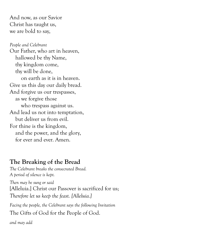And now, as our Savior Christ has taught us, we are bold to say,

*People and Celebrant* Our Father, who art in heaven, hallowed be thy Name, thy kingdom come, thy will be done, on earth as it is in heaven. Give us this day our daily bread. And forgive us our trespasses, as we forgive those who trespass against us. And lead us not into temptation, but deliver us from evil. For thine is the kingdom, and the power, and the glory, for ever and ever. Amen.

#### **The Breaking of the Bread**

*The Celebrant breaks the consecrated Bread. A period of silence is kept.*

*Then may be sung or said* [Alleluia.] Christ our Passover is sacrificed for us; *Therefore let us keep the feast. [Alleluia.]*

*Facing the people, the Celebrant says the following Invitation* The Gifts of God for the People of God.

*and may add*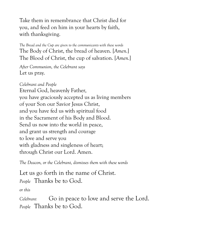Take them in remembrance that Christ died for you, and feed on him in your hearts by faith, with thanksgiving.

*The Bread and the Cup are given to the communicants with these words* The Body of Christ, the bread of heaven. [*Amen.*] The Blood of Christ, the cup of salvation. [*Amen.*]

*After Communion, the Celebrant says* Let us pray.

*Celebrant and People* Eternal God, heavenly Father, you have graciously accepted us as living members of your Son our Savior Jesus Christ, and you have fed us with spiritual food in the Sacrament of his Body and Blood. Send us now into the world in peace, and grant us strength and courage to love and serve you with gladness and singleness of heart; through Christ our Lord. Amen.

*The Deacon, or the Celebrant, dismisses them with these words*

Let us go forth in the name of Christ.

*People* Thanks be to God.

*or this*

*Celebrant* Go in peace to love and serve the Lord. *People* Thanks be to God.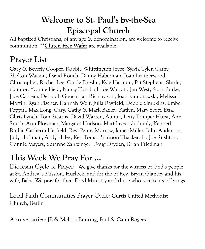## Welcome to St. Paul's by-the-Sea **Episcopal Church**

All baptized Christians, of any age & denomination, are welcome to receive communion. **\*\*Gluten Free Wafer** are available.

## **Prayer List**

Gary & Beverly Cooper, Robbie Whittington Joyce, Sylvia Tyler, Cathy, Shelton Watson, David Rouch, Danny Haberman, Joan Leatherwood, Christopher, Rachel Lee, Cindy Dreslin, Kyle Harmon, Pat Stephens, Shirley Connor, Yvonne Field, Nancy Turnbull, Joe Walcott, Jan West, Scott Burke, Jose Cabrera, Deborah Gooch, Jan Richardson, Joan Kamorowski, Melissa Martin, Ryan Fischer, Hannah Wolf, Julia Rayfield, Debbie Simpkins, Ember Poppiti, Max Long, Cary, Cathy & Mark Baxley, Katlyn, Mary Scott, Etta, Chris Lynch, Tom Stearns, David Warren, Aunua, Letty Trimper Hurst, Ann Smith, Ann Plowman, Margaret Hudson, Matt Leszcz & family, Kenneth Rudia, Catherin Hatfield, Rev. Penny Morrow, James Miller, John Anderson, Judy Hoffman, Andy Hales, Ken Toms, Brannon Thacker, Fr. Joe Rushton, Connie Mayers, Suzanne Zantzinger, Doug Dryden, Brian Friedman

## **This Week We Pray For ...**

Diocesan Cycle of Prayer: We give thanks for the witness of God's people at St. Andrew's Mission, Hurlock, and for the of Rev. Bryan Glancey and his wife, Babs. We pray for their Food Ministry and those who receive its offerings.

Local Faith Communities Prayer Cycle: Curtis United Methodist Church, Berlin

Anniversaries: JB & Melissa Bunting, Paul & Cami Rogers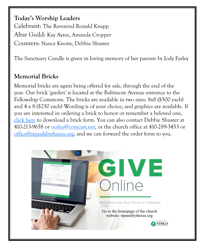### **Today's Worship Leaders**

Celebrant: The Reverend Ronald Knapp Altar Guild: Kay Ayres, Amanda Cropper Counters: Nancy Knotts, Debbie Shuster

The Sanctuary Candle is given in loving memory of her parents by Jody Farley

#### **Memorial Bricks**

Memorial bricks are again being offered for sale, through the end of the year. Our brick 'garden' is located at the Baltimore Avenue entrance to the Fellowship Commons. The bricks are available in two sizes: 8x8 (\$500 each) and 4 x 8 (\$250 each) Wording is of your choice, and graphics are available. If you are interested in ordering a brick to honor or remember a beloved one, [click here](https://files.constantcontact.com/2d81fdc6201/a89c11d6-2779-4bb4-9838-d20af6f37591.pdf) to download a brick form. You can also contact Debbie Shuster at 410-213-9658 or [ocshu@comcast.net,](mailto:ocshu@comcast.net) or the church office at 410-289-3453 or [office@stpaulsbythesea.org,](mailto:office@stpaulsbythesea.net) and we can forward the order form to you.

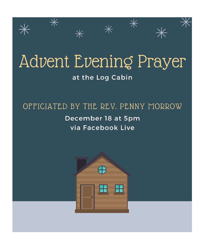

# Advent Evening Prayer

#### at the Log Cabin

### OFFICIATED BY THE REV. PENNY MORROW

#### December 18 at 5pm via Facebook Live

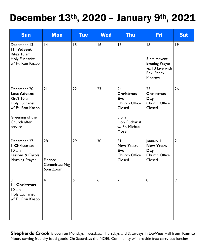## December 13th, 2020 – January 9th, 2021

| <b>Sun</b>                                                                                                                           | <b>Mon</b>                                        | <b>Tue</b> | <b>Wed</b> | <b>Thu</b>                                                                                                           | <b>Fri</b>                                                                             | <b>Sat</b>     |
|--------------------------------------------------------------------------------------------------------------------------------------|---------------------------------------------------|------------|------------|----------------------------------------------------------------------------------------------------------------------|----------------------------------------------------------------------------------------|----------------|
| December 13<br><b>III Advent</b><br>Rite2 10 am<br>Holy Eucharist<br>w/ Fr. Ron Knapp                                                | 4                                                 | 15         | 16         | 17                                                                                                                   | 18<br>5 pm Advent<br><b>Evening Prayer</b><br>via FB Live with<br>Rev. Penny<br>Morrow | 9              |
| December 20<br><b>Last Advent</b><br>Rite2 10 am<br>Holy Eucharist<br>w/ Fr. Ron Knapp<br>Greening of the<br>Church after<br>service | 21                                                | 22         | 23         | 24<br><b>Christmas</b><br><b>Eve</b><br>Church Office<br>Closed<br>5 pm<br>Holy Eucharist<br>w/ Fr. Michael<br>Moyer | 25<br>Christmas<br>Day<br>Church Office<br>Closed                                      | 26             |
| December 27<br>I Christmas<br>$10 \text{ am}$<br>Lessons & Carols<br>Morning Prayer                                                  | 28<br>Finance<br><b>Committee Mtg</b><br>6pm Zoom | 29         | 30         | 31<br><b>New Years</b><br>Eve<br>Church Office<br>Closed                                                             | January I<br><b>New Years</b><br>Day<br>Church Office<br>Closed                        | $\overline{2}$ |
| 3<br><b>II</b> Christmas<br>10 am<br>Holy Eucharist<br>w/ Fr. Ron Knapp                                                              | $\overline{4}$                                    | 5          | 6          | $\overline{7}$                                                                                                       | 8                                                                                      | 9              |

Shepherds Crook is open on Mondays, Tuesdays, Thursdays and Saturdays in DeWees Hall from 10am to Noon, serving free dry food goods. On Saturdays the NOEL Community will provide free carry out lunches.